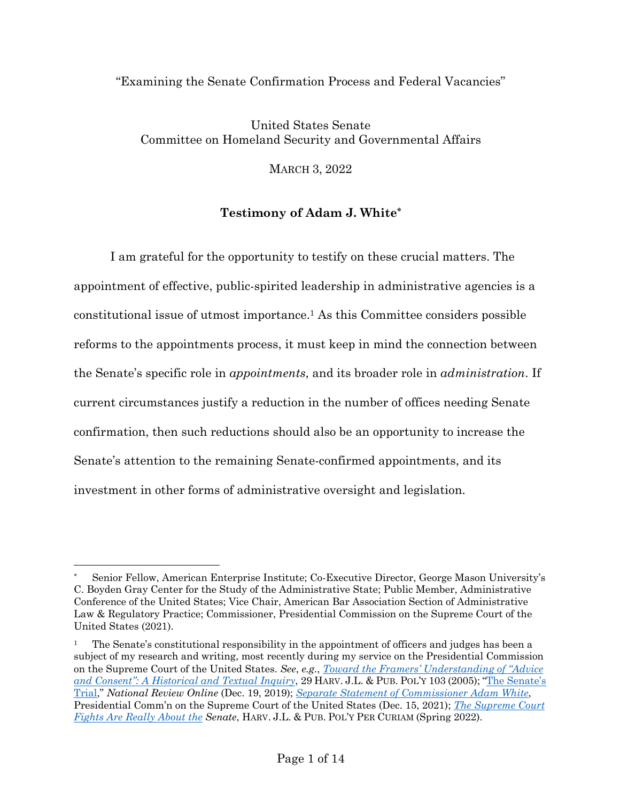#### "Examining the Senate Confirmation Process and Federal Vacancies"

# United States Senate Committee on Homeland Security and Governmental Affairs

MARCH 3, 2022

### **Testimony of Adam J. White\***

I am grateful for the opportunity to testify on these crucial matters. The appointment of effective, public-spirited leadership in administrative agencies is a constitutional issue of utmost importance.1 As this Committee considers possible reforms to the appointments process, it must keep in mind the connection between the Senate's specific role in *appointments*, and its broader role in *administration*. If current circumstances justify a reduction in the number of offices needing Senate confirmation, then such reductions should also be an opportunity to increase the Senate's attention to the remaining Senate-confirmed appointments, and its investment in other forms of administrative oversight and legislation.

Senior Fellow, American Enterprise Institute; Co-Executive Director, George Mason University's C. Boyden Gray Center for the Study of the Administrative State; Public Member, Administrative Conference of the United States; Vice Chair, American Bar Association Section of Administrative Law & Regulatory Practice; Commissioner, Presidential Commission on the Supreme Court of the United States (2021).

<sup>1</sup> The Senate's constitutional responsibility in the appointment of officers and judges has been a subject of my research and writing, most recently during my service on the Presidential Commission on the Supreme Court of the United States. *See*, *e.g.*, *Toward the Framers' Understanding of "Advice and Consent": A Historical and Textual Inquiry*, 29 HARV. J.L. & PUB. POL'Y 103 (2005); "The Senate's Trial," *National Review Online* (Dec. 19, 2019); *Separate Statement of Commissioner Adam White*, Presidential Comm'n on the Supreme Court of the United States (Dec. 15, 2021); *The Supreme Court Fights Are Really About the Senate*, HARV. J.L. & PUB. POL'Y PER CURIAM (Spring 2022).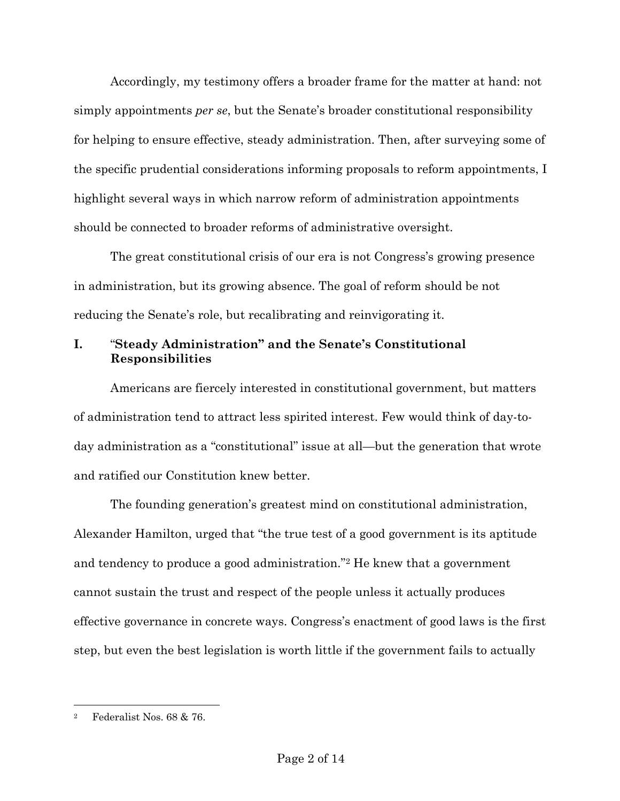Accordingly, my testimony offers a broader frame for the matter at hand: not simply appointments *per se*, but the Senate's broader constitutional responsibility for helping to ensure effective, steady administration. Then, after surveying some of the specific prudential considerations informing proposals to reform appointments, I highlight several ways in which narrow reform of administration appointments should be connected to broader reforms of administrative oversight.

The great constitutional crisis of our era is not Congress's growing presence in administration, but its growing absence. The goal of reform should be not reducing the Senate's role, but recalibrating and reinvigorating it.

# **I.** "**Steady Administration" and the Senate's Constitutional Responsibilities**

Americans are fiercely interested in constitutional government, but matters of administration tend to attract less spirited interest. Few would think of day-today administration as a "constitutional" issue at all—but the generation that wrote and ratified our Constitution knew better.

The founding generation's greatest mind on constitutional administration, Alexander Hamilton, urged that "the true test of a good government is its aptitude and tendency to produce a good administration."2 He knew that a government cannot sustain the trust and respect of the people unless it actually produces effective governance in concrete ways. Congress's enactment of good laws is the first step, but even the best legislation is worth little if the government fails to actually

<sup>2</sup> Federalist Nos. 68 & 76.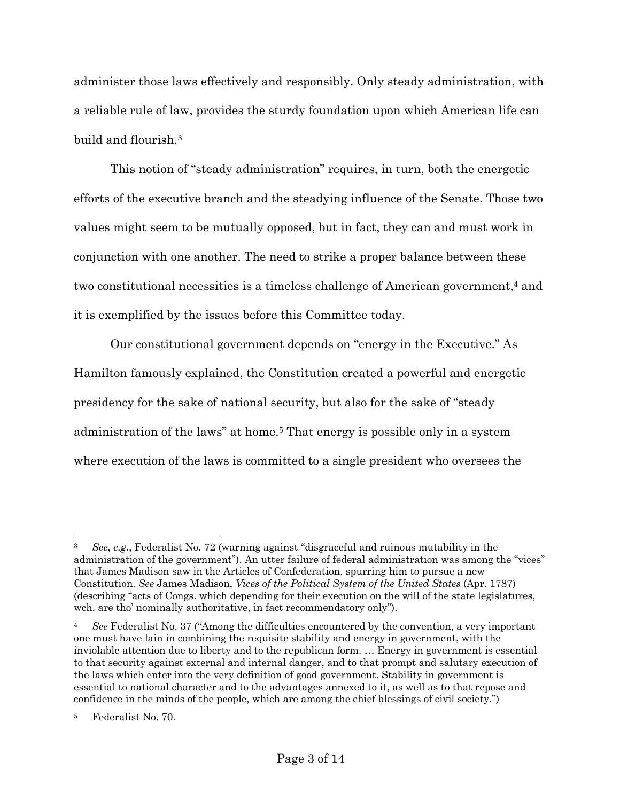administer those laws effectively and responsibly. Only steady administration, with a reliable rule of law, provides the sturdy foundation upon which American life can build and flourish.3

This notion of "steady administration" requires, in turn, both the energetic efforts of the executive branch and the steadying influence of the Senate. Those two values might seem to be mutually opposed, but in fact, they can and must work in conjunction with one another. The need to strike a proper balance between these two constitutional necessities is a timeless challenge of American government,4 and it is exemplified by the issues before this Committee today.

Our constitutional government depends on "energy in the Executive." As Hamilton famously explained, the Constitution created a powerful and energetic presidency for the sake of national security, but also for the sake of "steady administration of the laws" at home.5 That energy is possible only in a system where execution of the laws is committed to a single president who oversees the

<sup>3</sup> *See*, *e.g.*, Federalist No. 72 (warning against "disgraceful and ruinous mutability in the administration of the government"). An utter failure of federal administration was among the "vices" that James Madison saw in the Articles of Confederation, spurring him to pursue a new Constitution. *See* James Madison, *Vices of the Political System of the United States* (Apr. 1787) (describing "acts of Congs. which depending for their execution on the will of the state legislatures, wch. are tho' nominally authoritative, in fact recommendatory only").

<sup>4</sup> *See* Federalist No. 37 ("Among the difficulties encountered by the convention, a very important one must have lain in combining the requisite stability and energy in government, with the inviolable attention due to liberty and to the republican form. … Energy in government is essential to that security against external and internal danger, and to that prompt and salutary execution of the laws which enter into the very definition of good government. Stability in government is essential to national character and to the advantages annexed to it, as well as to that repose and confidence in the minds of the people, which are among the chief blessings of civil society.")

<sup>5</sup> Federalist No. 70.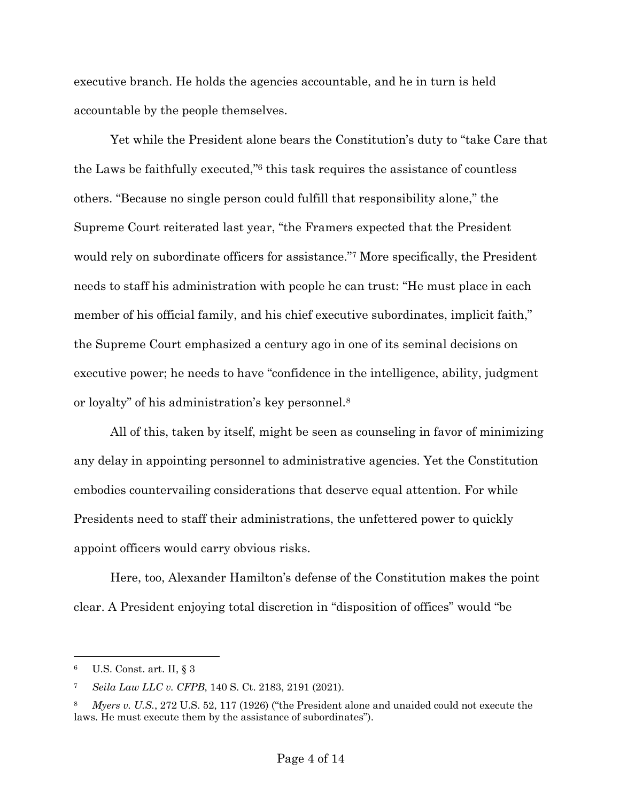executive branch. He holds the agencies accountable, and he in turn is held accountable by the people themselves.

Yet while the President alone bears the Constitution's duty to "take Care that the Laws be faithfully executed,"6 this task requires the assistance of countless others. "Because no single person could fulfill that responsibility alone," the Supreme Court reiterated last year, "the Framers expected that the President would rely on subordinate officers for assistance."7 More specifically, the President needs to staff his administration with people he can trust: "He must place in each member of his official family, and his chief executive subordinates, implicit faith," the Supreme Court emphasized a century ago in one of its seminal decisions on executive power; he needs to have "confidence in the intelligence, ability, judgment or loyalty" of his administration's key personnel.8

All of this, taken by itself, might be seen as counseling in favor of minimizing any delay in appointing personnel to administrative agencies. Yet the Constitution embodies countervailing considerations that deserve equal attention. For while Presidents need to staff their administrations, the unfettered power to quickly appoint officers would carry obvious risks.

Here, too, Alexander Hamilton's defense of the Constitution makes the point clear. A President enjoying total discretion in "disposition of offices" would "be

<sup>6</sup> U.S. Const. art. II, § 3

<sup>7</sup> *Seila Law LLC v. CFPB*, 140 S. Ct. 2183, 2191 (2021).

<sup>8</sup> *Myers v. U.S.*, 272 U.S. 52, 117 (1926) ("the President alone and unaided could not execute the laws. He must execute them by the assistance of subordinates").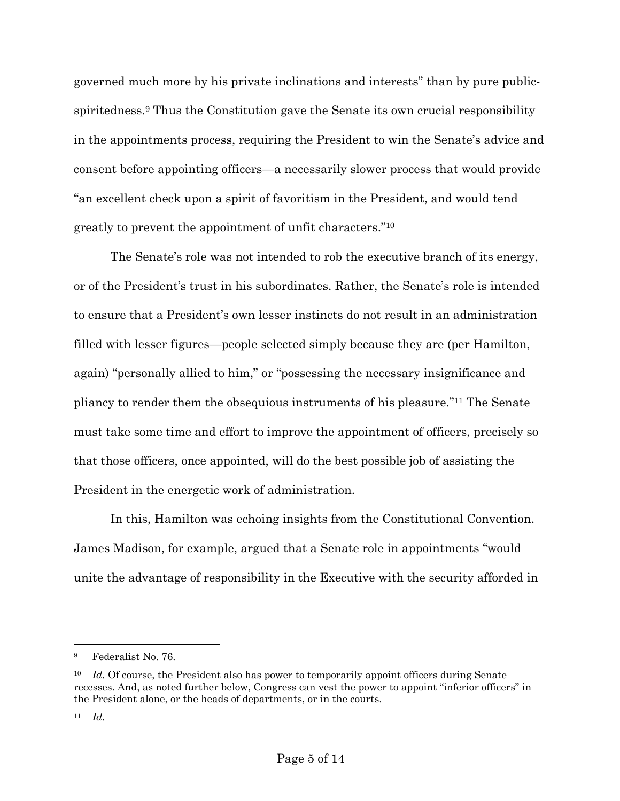governed much more by his private inclinations and interests" than by pure publicspiritedness.9 Thus the Constitution gave the Senate its own crucial responsibility in the appointments process, requiring the President to win the Senate's advice and consent before appointing officers—a necessarily slower process that would provide "an excellent check upon a spirit of favoritism in the President, and would tend greatly to prevent the appointment of unfit characters."10

The Senate's role was not intended to rob the executive branch of its energy, or of the President's trust in his subordinates. Rather, the Senate's role is intended to ensure that a President's own lesser instincts do not result in an administration filled with lesser figures—people selected simply because they are (per Hamilton, again) "personally allied to him," or "possessing the necessary insignificance and pliancy to render them the obsequious instruments of his pleasure."11 The Senate must take some time and effort to improve the appointment of officers, precisely so that those officers, once appointed, will do the best possible job of assisting the President in the energetic work of administration.

In this, Hamilton was echoing insights from the Constitutional Convention. James Madison, for example, argued that a Senate role in appointments "would unite the advantage of responsibility in the Executive with the security afforded in

<sup>9</sup> Federalist No. 76.

<sup>&</sup>lt;sup>10</sup> *Id.* Of course, the President also has power to temporarily appoint officers during Senate recesses. And, as noted further below, Congress can vest the power to appoint "inferior officers" in the President alone, or the heads of departments, or in the courts.

<sup>11</sup> *Id.*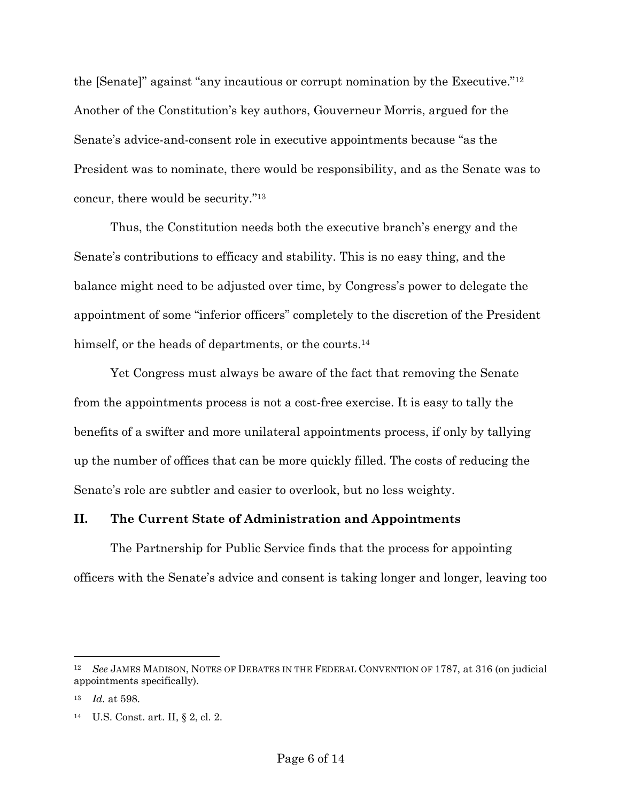the [Senate]" against "any incautious or corrupt nomination by the Executive."12 Another of the Constitution's key authors, Gouverneur Morris, argued for the Senate's advice-and-consent role in executive appointments because "as the President was to nominate, there would be responsibility, and as the Senate was to concur, there would be security."13

Thus, the Constitution needs both the executive branch's energy and the Senate's contributions to efficacy and stability. This is no easy thing, and the balance might need to be adjusted over time, by Congress's power to delegate the appointment of some "inferior officers" completely to the discretion of the President himself, or the heads of departments, or the courts.<sup>14</sup>

Yet Congress must always be aware of the fact that removing the Senate from the appointments process is not a cost-free exercise. It is easy to tally the benefits of a swifter and more unilateral appointments process, if only by tallying up the number of offices that can be more quickly filled. The costs of reducing the Senate's role are subtler and easier to overlook, but no less weighty.

# **II. The Current State of Administration and Appointments**

The Partnership for Public Service finds that the process for appointing officers with the Senate's advice and consent is taking longer and longer, leaving too

<sup>12</sup> *See* JAMES MADISON, NOTES OF DEBATES IN THE FEDERAL CONVENTION OF 1787, at 316 (on judicial appointments specifically).

<sup>13</sup> *Id.* at 598.

<sup>14</sup> U.S. Const. art. II, § 2, cl. 2.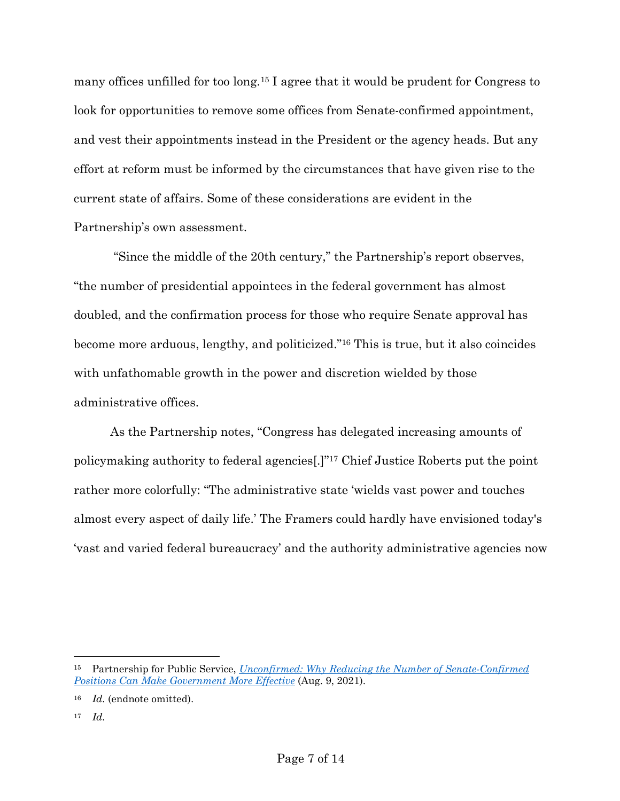many offices unfilled for too long.15 I agree that it would be prudent for Congress to look for opportunities to remove some offices from Senate-confirmed appointment, and vest their appointments instead in the President or the agency heads. But any effort at reform must be informed by the circumstances that have given rise to the current state of affairs. Some of these considerations are evident in the Partnership's own assessment.

"Since the middle of the 20th century," the Partnership's report observes, "the number of presidential appointees in the federal government has almost doubled, and the confirmation process for those who require Senate approval has become more arduous, lengthy, and politicized."16 This is true, but it also coincides with unfathomable growth in the power and discretion wielded by those administrative offices.

As the Partnership notes, "Congress has delegated increasing amounts of policymaking authority to federal agencies[.]"17 Chief Justice Roberts put the point rather more colorfully: "The administrative state 'wields vast power and touches almost every aspect of daily life.' The Framers could hardly have envisioned today's 'vast and varied federal bureaucracy' and the authority administrative agencies now

<sup>15</sup> Partnership for Public Service, *Unconfirmed: Why Reducing the Number of Senate-Confirmed Positions Can Make Government More Effective* (Aug. 9, 2021).

<sup>16</sup> *Id.* (endnote omitted).

<sup>17</sup> *Id.*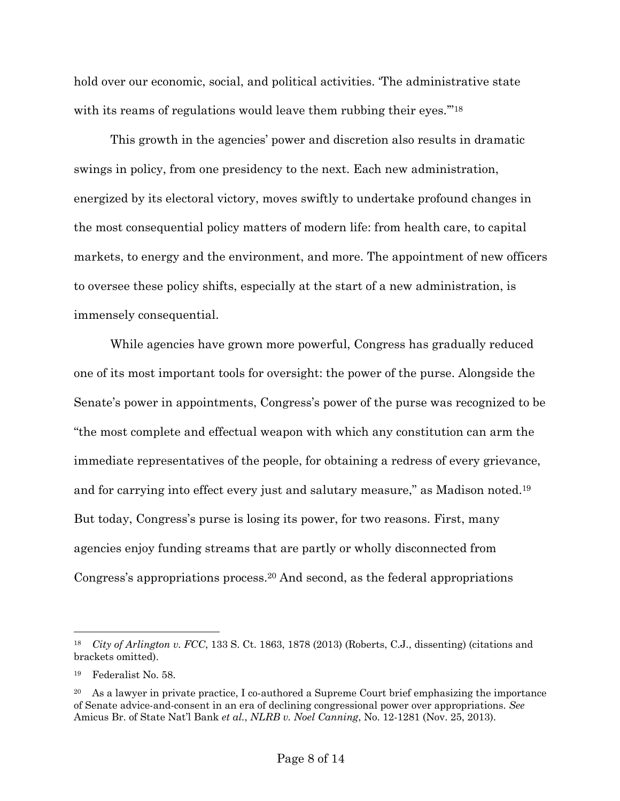hold over our economic, social, and political activities. The administrative state with its reams of regulations would leave them rubbing their eyes."<sup>18</sup>

This growth in the agencies' power and discretion also results in dramatic swings in policy, from one presidency to the next. Each new administration, energized by its electoral victory, moves swiftly to undertake profound changes in the most consequential policy matters of modern life: from health care, to capital markets, to energy and the environment, and more. The appointment of new officers to oversee these policy shifts, especially at the start of a new administration, is immensely consequential.

While agencies have grown more powerful, Congress has gradually reduced one of its most important tools for oversight: the power of the purse. Alongside the Senate's power in appointments, Congress's power of the purse was recognized to be "the most complete and effectual weapon with which any constitution can arm the immediate representatives of the people, for obtaining a redress of every grievance, and for carrying into effect every just and salutary measure," as Madison noted.19 But today, Congress's purse is losing its power, for two reasons. First, many agencies enjoy funding streams that are partly or wholly disconnected from Congress's appropriations process.20 And second, as the federal appropriations

<sup>18</sup> *City of Arlington v. FCC*, 133 S. Ct. 1863, 1878 (2013) (Roberts, C.J., dissenting) (citations and brackets omitted).

<sup>19</sup> Federalist No. 58.

<sup>&</sup>lt;sup>20</sup> As a lawyer in private practice, I co-authored a Supreme Court brief emphasizing the importance of Senate advice-and-consent in an era of declining congressional power over appropriations. *See*  Amicus Br. of State Nat'l Bank *et al.*, *NLRB v. Noel Canning*, No. 12-1281 (Nov. 25, 2013).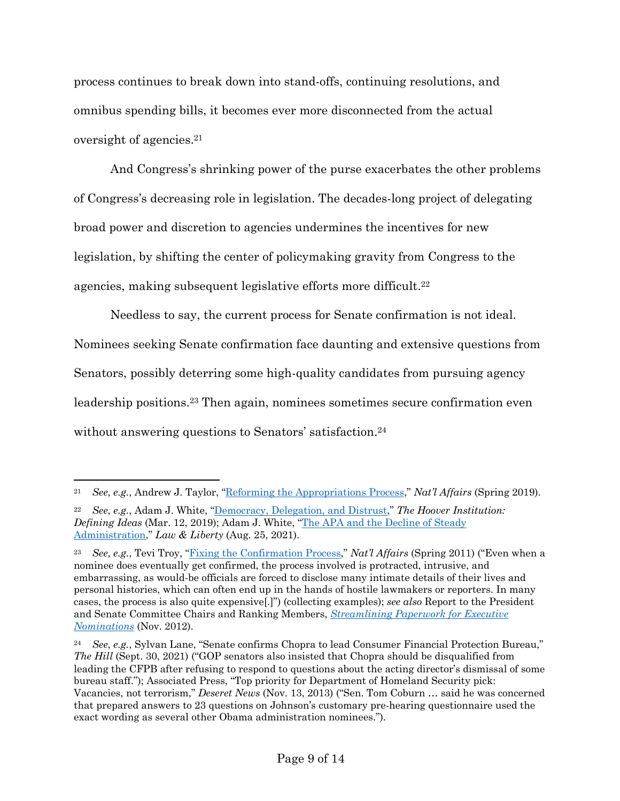process continues to break down into stand-offs, continuing resolutions, and omnibus spending bills, it becomes ever more disconnected from the actual oversight of agencies.21

And Congress's shrinking power of the purse exacerbates the other problems of Congress's decreasing role in legislation. The decades-long project of delegating broad power and discretion to agencies undermines the incentives for new legislation, by shifting the center of policymaking gravity from Congress to the agencies, making subsequent legislative efforts more difficult.<sup>22</sup>

Needless to say, the current process for Senate confirmation is not ideal. Nominees seeking Senate confirmation face daunting and extensive questions from Senators, possibly deterring some high-quality candidates from pursuing agency leadership positions.23 Then again, nominees sometimes secure confirmation even without answering questions to Senators' satisfaction.<sup>24</sup>

<sup>21</sup> *See*, *e.g.*, Andrew J. Taylor, "Reforming the Appropriations Process," *Nat'l Affairs* (Spring 2019).

<sup>22</sup> *See*, *e.g.*, Adam J. White, "Democracy, Delegation, and Distrust," *The Hoover Institution: Defining Ideas* (Mar. 12, 2019); Adam J. White, "The APA and the Decline of Steady Administration," *Law & Liberty* (Aug. 25, 2021).

<sup>23</sup> *See*, *e.g.*, Tevi Troy, "Fixing the Confirmation Process," *Nat'l Affairs* (Spring 2011) ("Even when a nominee does eventually get confirmed, the process involved is protracted, intrusive, and embarrassing, as would-be officials are forced to disclose many intimate details of their lives and personal histories, which can often end up in the hands of hostile lawmakers or reporters. In many cases, the process is also quite expensive[.]") (collecting examples); *see also* Report to the President and Senate Committee Chairs and Ranking Members, *Streamlining Paperwork for Executive Nominations* (Nov. 2012).

<sup>24</sup> *See*, *e.g.*, Sylvan Lane, "Senate confirms Chopra to lead Consumer Financial Protection Bureau," *The Hill* (Sept. 30, 2021) ("GOP senators also insisted that Chopra should be disqualified from leading the CFPB after refusing to respond to questions about the acting director's dismissal of some bureau staff."); Associated Press, "Top priority for Department of Homeland Security pick: Vacancies, not terrorism," *Deseret News* (Nov. 13, 2013) ("Sen. Tom Coburn … said he was concerned that prepared answers to 23 questions on Johnson's customary pre-hearing questionnaire used the exact wording as several other Obama administration nominees.").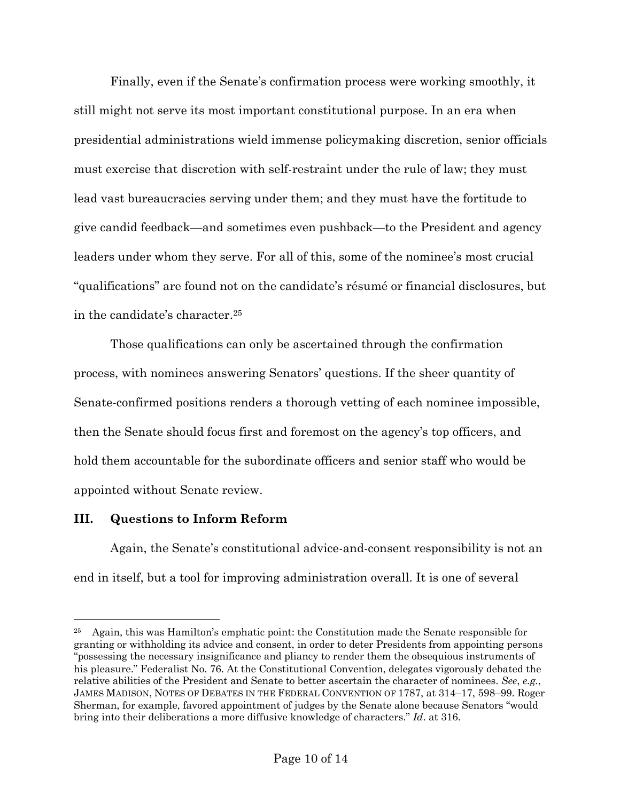Finally, even if the Senate's confirmation process were working smoothly, it still might not serve its most important constitutional purpose. In an era when presidential administrations wield immense policymaking discretion, senior officials must exercise that discretion with self-restraint under the rule of law; they must lead vast bureaucracies serving under them; and they must have the fortitude to give candid feedback—and sometimes even pushback—to the President and agency leaders under whom they serve. For all of this, some of the nominee's most crucial "qualifications" are found not on the candidate's résumé or financial disclosures, but in the candidate's character.25

Those qualifications can only be ascertained through the confirmation process, with nominees answering Senators' questions. If the sheer quantity of Senate-confirmed positions renders a thorough vetting of each nominee impossible, then the Senate should focus first and foremost on the agency's top officers, and hold them accountable for the subordinate officers and senior staff who would be appointed without Senate review.

### **III. Questions to Inform Reform**

Again, the Senate's constitutional advice-and-consent responsibility is not an end in itself, but a tool for improving administration overall. It is one of several

<sup>25</sup> Again, this was Hamilton's emphatic point: the Constitution made the Senate responsible for granting or withholding its advice and consent, in order to deter Presidents from appointing persons "possessing the necessary insignificance and pliancy to render them the obsequious instruments of his pleasure." Federalist No. 76. At the Constitutional Convention, delegates vigorously debated the relative abilities of the President and Senate to better ascertain the character of nominees. *See*, *e.g.*, JAMES MADISON, NOTES OF DEBATES IN THE FEDERAL CONVENTION OF 1787, at 314–17, 598–99. Roger Sherman, for example, favored appointment of judges by the Senate alone because Senators "would bring into their deliberations a more diffusive knowledge of characters." *Id*. at 316.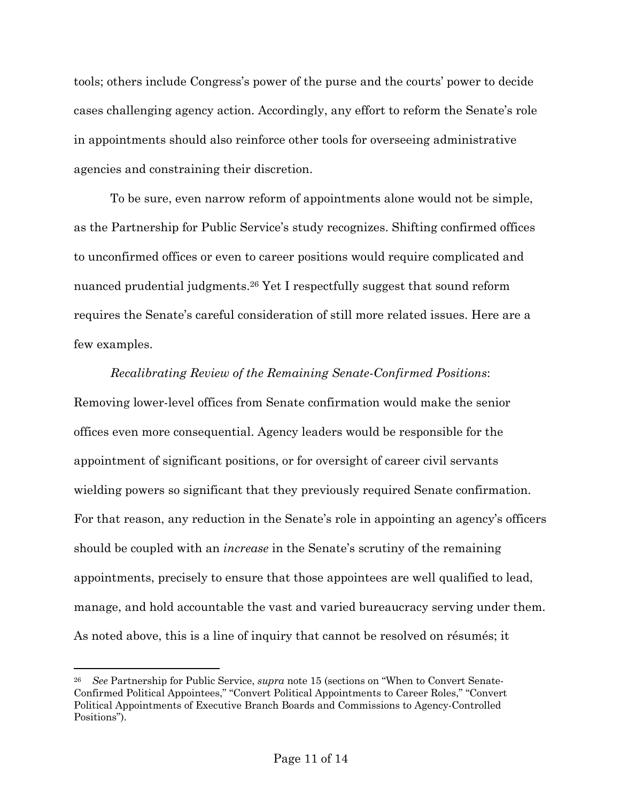tools; others include Congress's power of the purse and the courts' power to decide cases challenging agency action. Accordingly, any effort to reform the Senate's role in appointments should also reinforce other tools for overseeing administrative agencies and constraining their discretion.

To be sure, even narrow reform of appointments alone would not be simple, as the Partnership for Public Service's study recognizes. Shifting confirmed offices to unconfirmed offices or even to career positions would require complicated and nuanced prudential judgments.26 Yet I respectfully suggest that sound reform requires the Senate's careful consideration of still more related issues. Here are a few examples.

*Recalibrating Review of the Remaining Senate-Confirmed Positions*: Removing lower-level offices from Senate confirmation would make the senior offices even more consequential. Agency leaders would be responsible for the appointment of significant positions, or for oversight of career civil servants wielding powers so significant that they previously required Senate confirmation. For that reason, any reduction in the Senate's role in appointing an agency's officers should be coupled with an *increase* in the Senate's scrutiny of the remaining appointments, precisely to ensure that those appointees are well qualified to lead, manage, and hold accountable the vast and varied bureaucracy serving under them. As noted above, this is a line of inquiry that cannot be resolved on résumés; it

<sup>26</sup> *See* Partnership for Public Service, *supra* note 15 (sections on "When to Convert Senate-Confirmed Political Appointees," "Convert Political Appointments to Career Roles," "Convert Political Appointments of Executive Branch Boards and Commissions to Agency-Controlled Positions").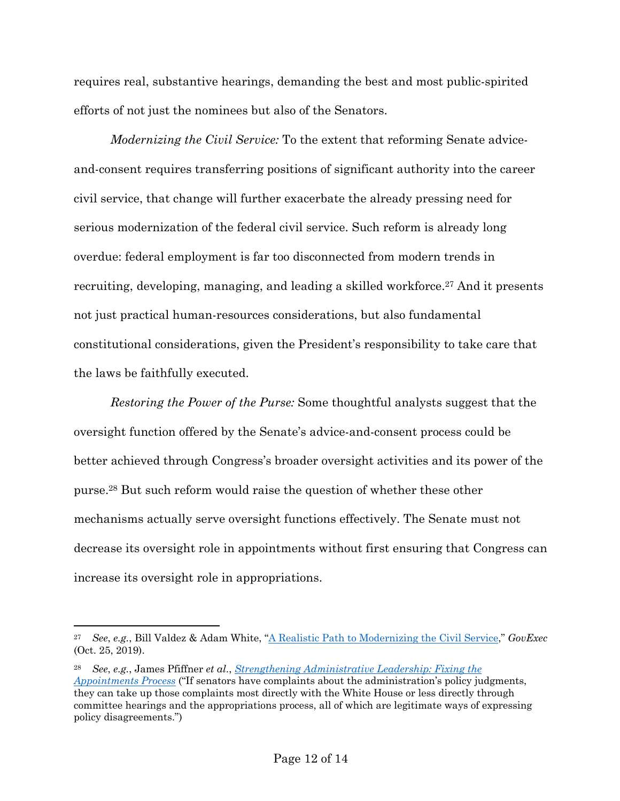requires real, substantive hearings, demanding the best and most public-spirited efforts of not just the nominees but also of the Senators.

*Modernizing the Civil Service:* To the extent that reforming Senate adviceand-consent requires transferring positions of significant authority into the career civil service, that change will further exacerbate the already pressing need for serious modernization of the federal civil service. Such reform is already long overdue: federal employment is far too disconnected from modern trends in recruiting, developing, managing, and leading a skilled workforce.<sup>27</sup> And it presents not just practical human-resources considerations, but also fundamental constitutional considerations, given the President's responsibility to take care that the laws be faithfully executed.

*Restoring the Power of the Purse:* Some thoughtful analysts suggest that the oversight function offered by the Senate's advice-and-consent process could be better achieved through Congress's broader oversight activities and its power of the purse.28 But such reform would raise the question of whether these other mechanisms actually serve oversight functions effectively. The Senate must not decrease its oversight role in appointments without first ensuring that Congress can increase its oversight role in appropriations.

<sup>27</sup> *See*, *e.g.*, Bill Valdez & Adam White, "A Realistic Path to Modernizing the Civil Service," *GovExec* (Oct. 25, 2019).

<sup>28</sup> *See*, *e.g.*, James Pfiffner *et al*., *Strengthening Administrative Leadership: Fixing the Appointments Process* ("If senators have complaints about the administration's policy judgments, they can take up those complaints most directly with the White House or less directly through committee hearings and the appropriations process, all of which are legitimate ways of expressing policy disagreements.")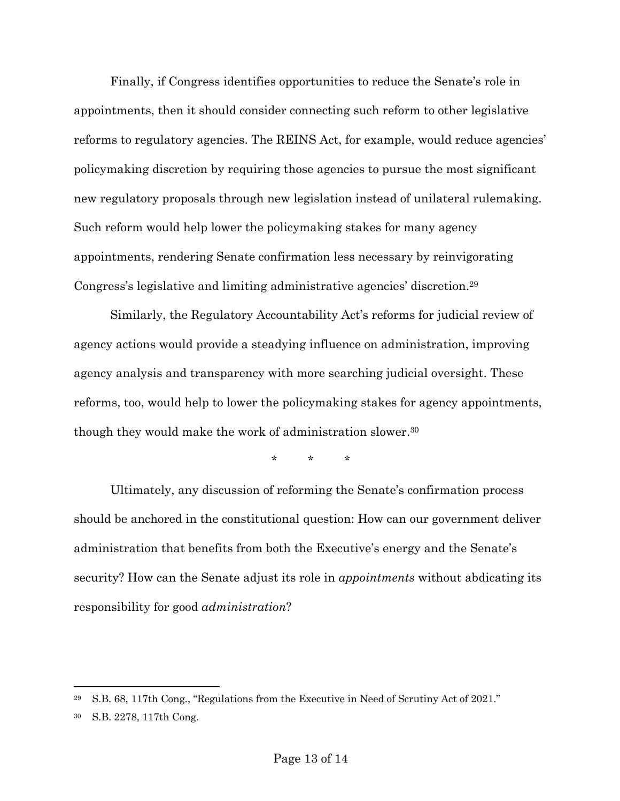Finally, if Congress identifies opportunities to reduce the Senate's role in appointments, then it should consider connecting such reform to other legislative reforms to regulatory agencies. The REINS Act, for example, would reduce agencies' policymaking discretion by requiring those agencies to pursue the most significant new regulatory proposals through new legislation instead of unilateral rulemaking. Such reform would help lower the policymaking stakes for many agency appointments, rendering Senate confirmation less necessary by reinvigorating Congress's legislative and limiting administrative agencies' discretion.29

Similarly, the Regulatory Accountability Act's reforms for judicial review of agency actions would provide a steadying influence on administration, improving agency analysis and transparency with more searching judicial oversight. These reforms, too, would help to lower the policymaking stakes for agency appointments, though they would make the work of administration slower.30

\* \* \*

Ultimately, any discussion of reforming the Senate's confirmation process should be anchored in the constitutional question: How can our government deliver administration that benefits from both the Executive's energy and the Senate's security? How can the Senate adjust its role in *appointments* without abdicating its responsibility for good *administration*?

<sup>29</sup> S.B. 68, 117th Cong., "Regulations from the Executive in Need of Scrutiny Act of 2021."

<sup>30</sup> S.B. 2278, 117th Cong.